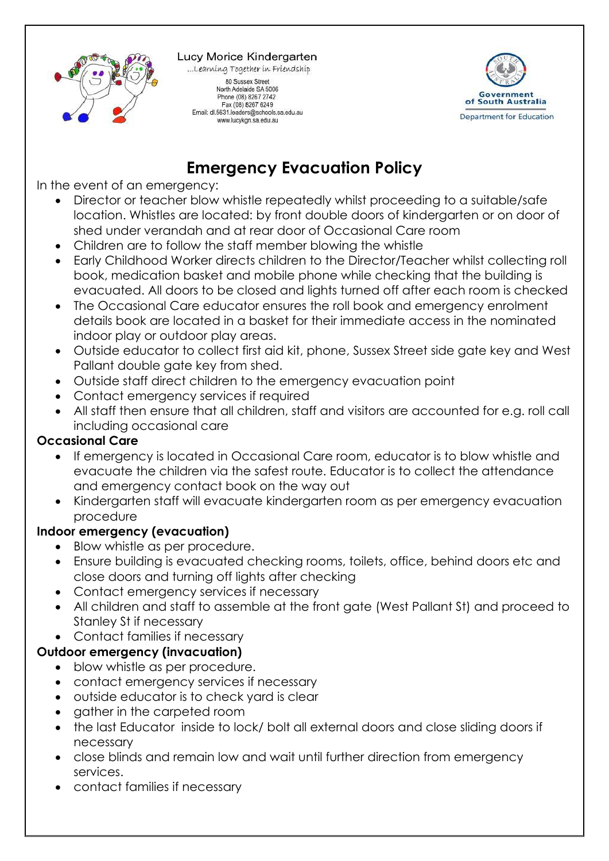

Lucy Morice Kindergarten ...Learning Together in Friendship

80 Sussex Street North Adelaide SA 5006 Phone (08) 8267 2742 Fax (08) 8267 6249<br>Email: dl.5631.leaders@schools.sa.edu.au www.lucykgn.sa.edu.au



## **Emergency Evacuation Policy**

In the event of an emergency:

- Director or teacher blow whistle repeatedly whilst proceeding to a suitable/safe location. Whistles are located: by front double doors of kindergarten or on door of shed under verandah and at rear door of Occasional Care room
- Children are to follow the staff member blowing the whistle
- Early Childhood Worker directs children to the Director/Teacher whilst collecting roll book, medication basket and mobile phone while checking that the building is evacuated. All doors to be closed and lights turned off after each room is checked
- The Occasional Care educator ensures the roll book and emergency enrolment details book are located in a basket for their immediate access in the nominated indoor play or outdoor play areas.
- Outside educator to collect first aid kit, phone, Sussex Street side gate key and West Pallant double gate key from shed.
- Outside staff direct children to the emergency evacuation point
- Contact emergency services if required
- All staff then ensure that all children, staff and visitors are accounted for e.g. roll call including occasional care

## **Occasional Care**

- If emergency is located in Occasional Care room, educator is to blow whistle and evacuate the children via the safest route. Educator is to collect the attendance and emergency contact book on the way out
- Kindergarten staff will evacuate kindergarten room as per emergency evacuation procedure

## **Indoor emergency (evacuation)**

- Blow whistle as per procedure.
- Ensure building is evacuated checking rooms, toilets, office, behind doors etc and close doors and turning off lights after checking
- Contact emergency services if necessary
- All children and staff to assemble at the front gate (West Pallant St) and proceed to Stanley St if necessary
- Contact families if necessary

## **Outdoor emergency (invacuation)**

- blow whistle as per procedure.
- contact emergency services if necessary
- outside educator is to check yard is clear
- aather in the carpeted room
- the last Educator inside to lock/ bolt all external doors and close sliding doors if necessary
- close blinds and remain low and wait until further direction from emergency services.
- contact families if necessary